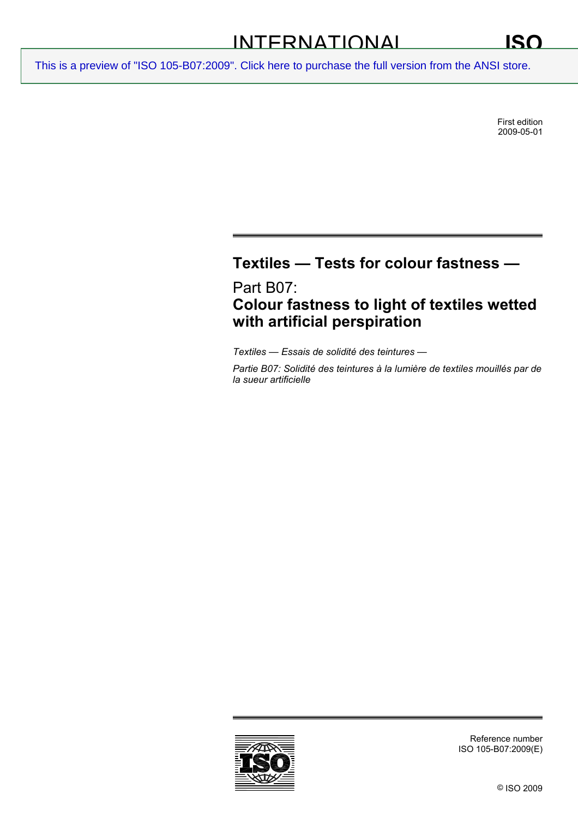First edition 2009-05-01

# **Textiles — Tests for colour fastness —**

Part B07: **Colour fastness to light of textiles wetted with artificial perspiration** 

*Textiles — Essais de solidité des teintures —* 

*Partie B07: Solidité des teintures à la lumière de textiles mouillés par de la sueur artificielle* 

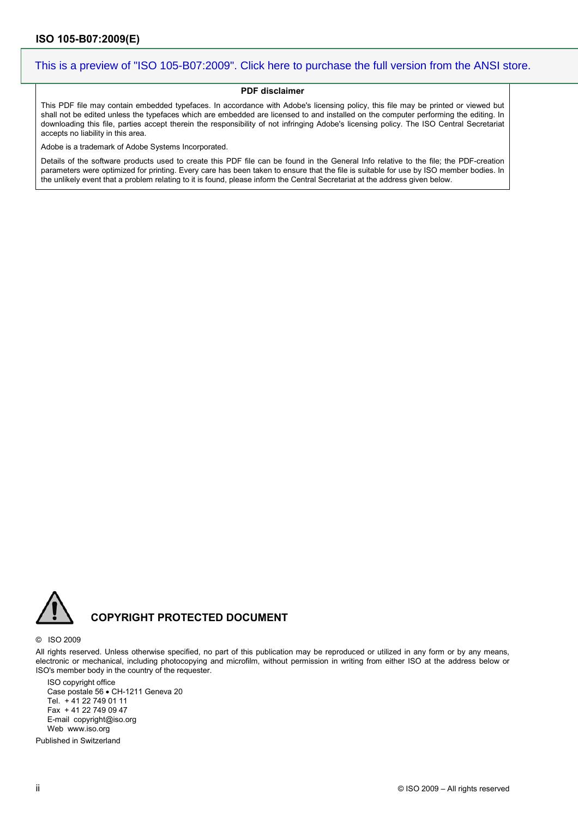#### **PDF disclaimer**

This PDF file may contain embedded typefaces. In accordance with Adobe's licensing policy, this file may be printed or viewed but shall not be edited unless the typefaces which are embedded are licensed to and installed on the computer performing the editing. In downloading this file, parties accept therein the responsibility of not infringing Adobe's licensing policy. The ISO Central Secretariat accepts no liability in this area.

Adobe is a trademark of Adobe Systems Incorporated.

Details of the software products used to create this PDF file can be found in the General Info relative to the file; the PDF-creation parameters were optimized for printing. Every care has been taken to ensure that the file is suitable for use by ISO member bodies. In the unlikely event that a problem relating to it is found, please inform the Central Secretariat at the address given below.



### **COPYRIGHT PROTECTED DOCUMENT**

#### © ISO 2009

All rights reserved. Unless otherwise specified, no part of this publication may be reproduced or utilized in any form or by any means, electronic or mechanical, including photocopying and microfilm, without permission in writing from either ISO at the address below or ISO's member body in the country of the requester.

ISO copyright office Case postale 56 • CH-1211 Geneva 20 Tel. + 41 22 749 01 11 Fax + 41 22 749 09 47 E-mail copyright@iso.org Web www.iso.org

Published in Switzerland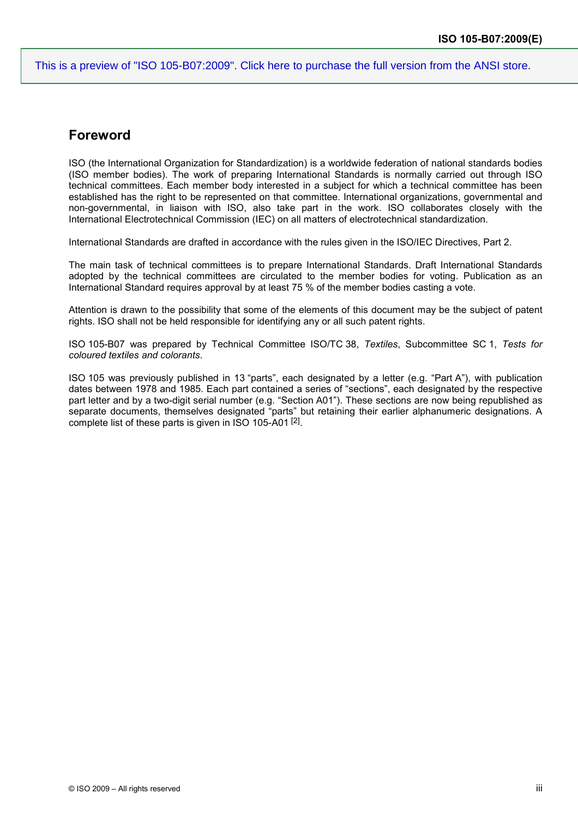### **Foreword**

ISO (the International Organization for Standardization) is a worldwide federation of national standards bodies (ISO member bodies). The work of preparing International Standards is normally carried out through ISO technical committees. Each member body interested in a subject for which a technical committee has been established has the right to be represented on that committee. International organizations, governmental and non-governmental, in liaison with ISO, also take part in the work. ISO collaborates closely with the International Electrotechnical Commission (IEC) on all matters of electrotechnical standardization.

International Standards are drafted in accordance with the rules given in the ISO/IEC Directives, Part 2.

The main task of technical committees is to prepare International Standards. Draft International Standards adopted by the technical committees are circulated to the member bodies for voting. Publication as an International Standard requires approval by at least 75 % of the member bodies casting a vote.

Attention is drawn to the possibility that some of the elements of this document may be the subject of patent rights. ISO shall not be held responsible for identifying any or all such patent rights.

ISO 105-B07 was prepared by Technical Committee ISO/TC 38, *Textiles*, Subcommittee SC 1, *Tests for coloured textiles and colorants*.

ISO 105 was previously published in 13 "parts", each designated by a letter (e.g. "Part A"), with publication dates between 1978 and 1985. Each part contained a series of "sections", each designated by the respective part letter and by a two-digit serial number (e.g. "Section A01"). These sections are now being republished as separate documents, themselves designated "parts" but retaining their earlier alphanumeric designations. A complete list of these parts is given in ISO 105-A01 [2].